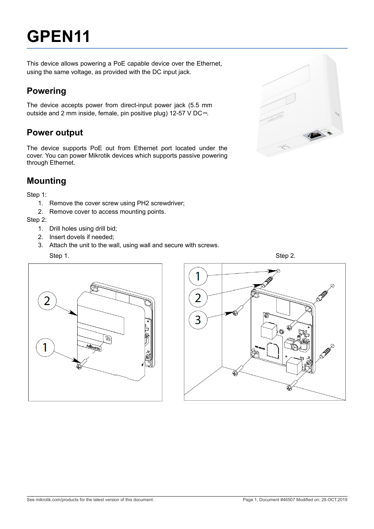# **GPEN11**

This device allows powering a PoE capable device over the Ethernet, using the same voltage, as provided with the DC input jack.

## **Powering**

The device accepts power from direct-input power jack (5.5 mm outside and 2 mm inside, female, pin positive plug) 12-57 V DC<sup>---</sup>.

## **Power output**

The device supports PoE out from Ethernet port located under the cover. You can power Mikrotik devices which supports passive powering through Ethernet.

## **Mounting**

Step 1:

- 1. Remove the cover screw using PH2 screwdriver;
- 2. Remove cover to access mounting points.

Step 2:

- 1. Drill holes using drill bid;
- 2. Insert dovels if needed;
- 3. Attach the unit to the wall, using wall and secure with screws.





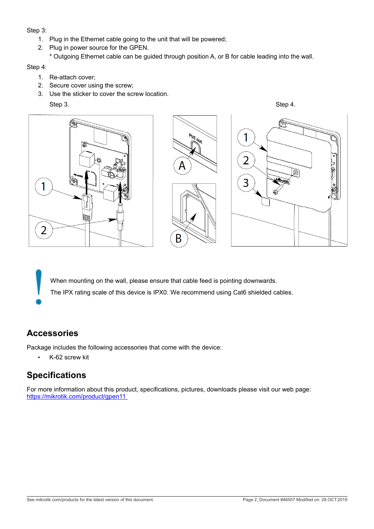Step 3:

- 1. Plug in the Ethernet cable going to the unit that will be powered;
- 2. Plug in power source for the GPEN.
	- \* Outgoing Ethernet cable can be guided through position A, or B for cable leading into the wall.

Step 4:

- 1. Re-attach cover;
- 2. Secure cover using the screw;
- 3. Use the sticker to cover the screw location.

Step 3. Step 4.



When mounting on the wall, please ensure that cable feed is pointing downwards. The IPX rating scale of this device is IPX0. We recommend using Cat6 shielded cables.

#### **Accessories**

Package includes the following accessories that come with the device:

• K-62 screw kit

## **Specifications**

For more information about this product, specifications, pictures, downloads please visit our web page: <https://mikrotik.com/product/gpen11>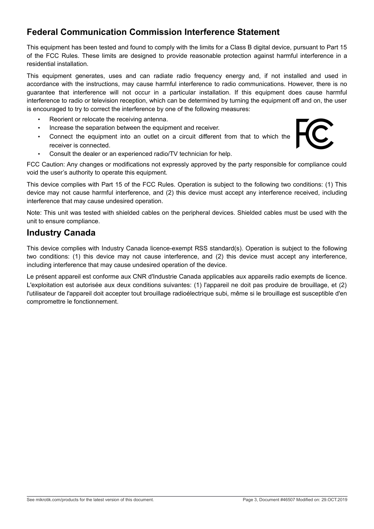## **Federal Communication Commission Interference Statement**

This equipment has been tested and found to comply with the limits for a Class B digital device, pursuant to Part 15 of the FCC Rules. These limits are designed to provide reasonable protection against harmful interference in a residential installation.

This equipment generates, uses and can radiate radio frequency energy and, if not installed and used in accordance with the instructions, may cause harmful interference to radio communications. However, there is no guarantee that interference will not occur in a particular installation. If this equipment does cause harmful interference to radio or television reception, which can be determined by turning the equipment off and on, the user is encouraged to try to correct the interference by one of the following measures:

- Reorient or relocate the receiving antenna.
- Increase the separation between the equipment and receiver.
- Connect the equipment into an outlet on a circuit different from that to which the receiver is connected.



• Consult the dealer or an experienced radio/TV technician for help.

FCC Caution: Any changes or modifications not expressly approved by the party responsible for compliance could void the user's authority to operate this equipment.

This device complies with Part 15 of the FCC Rules. Operation is subject to the following two conditions: (1) This device may not cause harmful interference, and (2) this device must accept any interference received, including interference that may cause undesired operation.

Note: This unit was tested with shielded cables on the peripheral devices. Shielded cables must be used with the unit to ensure compliance.

### **Industry Canada**

This device complies with Industry Canada licence-exempt RSS standard(s). Operation is subject to the following two conditions: (1) this device may not cause interference, and (2) this device must accept any interference, including interference that may cause undesired operation of the device.

Le présent appareil est conforme aux CNR d'Industrie Canada applicables aux appareils radio exempts de licence. L'exploitation est autorisée aux deux conditions suivantes: (1) l'appareil ne doit pas produire de brouillage, et (2) l'utilisateur de l'appareil doit accepter tout brouillage radioélectrique subi, même si le brouillage est susceptible d'en compromettre le fonctionnement.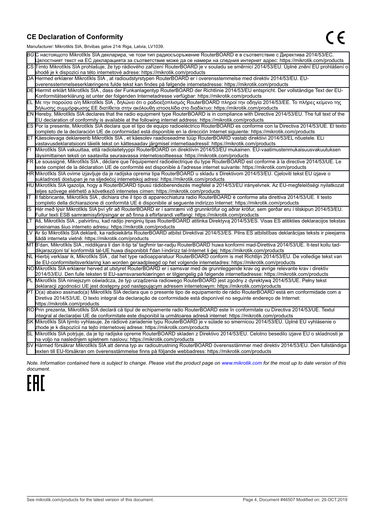#### **CE Declaration of Conformity**

Manufacturer: Mikrotikls SIA, Brivibas gatve 214i Riga, Latvia, LV1039.

|    | ividiTulacturer. Mintounis OIA, Drividas gatve Z 141 inga, Latvia, Lv 1009.                                                                                                                                                                     |
|----|-------------------------------------------------------------------------------------------------------------------------------------------------------------------------------------------------------------------------------------------------|
|    | ВСС настоящото Mikrotīkls SIA декларира, че този тип радиосъоръжение RouterBOARD е в съответствие с Директива 2014/53/ЕС.                                                                                                                       |
|    | Цялостният текст на ЕС декларацията за съответствие може да се намери на следния интернет адрес: https://mikrotik.com/products                                                                                                                  |
|    | CS∏ímto Mikrotīkls SIA prohlašuje, že typ rádiového zařízení RouterBOARD je v souladu se směrnicí 2014/53/EU. Úplné znění EU prohlášení o                                                                                                       |
|    | shodě je k dispozici na této internetové adrese: https://mikrotik.com/products                                                                                                                                                                  |
|    | DA Hermed erklærer Mikrotīkls SIA, at radioudstyrstypen RouterBOARD er i overensstemmelse med direktiv 2014/53/EU. EU-                                                                                                                          |
|    | overensstemmelseserklæringens fulde tekst kan findes på følgende internetadresse: https://mikrotik.com/products                                                                                                                                 |
|    | DE Hiermit erklärt Mikrotīkls SIA , dass der Funkanlagentyp RouterBOARD der Richtlinie 2014/53/EU entspricht. Der vollständige Text der EU-                                                                                                     |
|    | Konformitätserklärung ist unter der folgenden Internetadresse verfügbar: https://mikrotik.com/products                                                                                                                                          |
|    | ΕL Με την παρούσα ο/η Mikrotīkls SIA , δηλώνει ότι ο ραδιοεξοπλισμός RouterBOARD πληροί την οδηγία 2014/53/ΕΕ. Το πλήρες κείμενο της<br>δήλωσης συμμόρφωσης ΕΕ διατίθεται στην ακόλουθη ιστοσελίδα στο διαδίκτυο: https://mikrotik.com/products |
|    | EN Hereby, Mikrotīkls SIA declares that the radio equipment type RouterBOARD is in compliance with Directive 2014/53/EU. The full text of the                                                                                                   |
|    | EU declaration of conformity is available at the following internet address: https://mikrotik.com/products                                                                                                                                      |
|    | ES Por la presente, Mikrotīkls SIA declara que el tipo de equipo radioeléctrico RouterBOARD es conforme con la Directiva 2014/53/UE. El texto                                                                                                   |
|    | completo de la declaración UE de conformidad está disponible en la dirección Internet siguiente: https://mikrotik.com/products                                                                                                                  |
|    | ET Käesolevaga deklareerib Mikrotīkls SIA , et käesolev raadioseadme tüüp RouterBOARD vastab direktiivi 2014/53/EL nõuetele. ELi                                                                                                                |
|    | vastavusdeklaratsiooni täielik tekst on kättesaadav järgmisel internetiaadressil: https://mikrotik.com/products                                                                                                                                 |
|    | Mikrotīkls SIA vakuuttaa, että radiolaitetyyppi RouterBOARD on direktiivin 2014/53/EU mukainen. EU-vaatimustenmukaisuusvakuutuksen                                                                                                              |
|    | täysimittainen teksti on saatavilla seuraavassa internetosoitteessa: https://mikrotik.com/products                                                                                                                                              |
|    | FR Le soussigné, Mikrotīkls SIA , déclare que l'équipement radioélectrique du type RouterBOARD est conforme à la directive 2014/53/UE. Le                                                                                                       |
|    | texte complet de la déclaration UE de conformité est disponible à l'adresse internet suivante: https://mikrotik.com/products                                                                                                                    |
|    | HR∭likrotīkls SIA ovime izjavljuje da je radijska oprema tipa RouterBOARD u skladu s Direktivom 2014/53/EU. Cjeloviti tekst EU izjave o                                                                                                         |
|    | sukladnosti dostupan je na sljedećoj internetskoj adresi: https://mikrotik.com/products                                                                                                                                                         |
|    | HU∭Nikrotīkls SIA igazolja, hogy a RouterBOARD típusú rádióberendezés megfelel a 2014/53/EU irányelvnek. Az EU-megfelelőségi nyilatkozat                                                                                                        |
|    | teljes szövege elérhető a következő internetes címen: https://mikrotik.com/products                                                                                                                                                             |
|    | Il fabbricante, Mikrotīkls SIA, dichiara che il tipo di apparecchiatura radio RouterBOARD è conforme alla direttiva 2014/53/UE. Il testo                                                                                                        |
|    | completo della dichiarazione di conformità UE è disponibile al seguente indirizzo Internet: https://mikrotik.com/products                                                                                                                       |
| IS | Hér með lýsir Mikrotīkls SIA því yfir að RouterBOARD er í samræmi við grunnkröfur og aðrar kröfur, sem gerðar eru í tilskipun 2014/53/EU.                                                                                                       |
|    | Fullur texti ESB samræmisyfirlýsingar er að finna á eftirfarandi veffangi: https://mikrotik.com/products                                                                                                                                        |
|    | Aš, Mikrotīkls SIA, patvirtinu, kad radijo įrenginių tipas RouterBOARD atitinka Direktyvą 2014/53/ES. Visas ES atitikties deklaracijos tekstas                                                                                                  |
|    | prieinamas šiuo interneto adresu: https://mikrotik.com/products                                                                                                                                                                                 |
|    | Ar šo Mikrotīkls SIA deklarē, ka radioiekārta RouterBOARD atbilst Direktīvai 2014/53/ES. Pilns ES atbilstības deklarācijas teksts ir pieejams                                                                                                   |
|    | šādā interneta vietnē: https://mikrotik.com/products                                                                                                                                                                                            |
|    | MT B'dan, Mikrotīkls SIA, niddikjara li dan it-tip ta' tagħmir tar-radju RouterBOARD huwa konformi mad-Direttiva 2014/53/UE. It-test kollu tad-                                                                                                 |
|    | dikjarazzjoni ta' konformità tal-UE huwa disponibbli f'dan l-indirizz tal-Internet li ġej: https://mikrotik.com/products                                                                                                                        |
|    | NL  Hierbij verklaar ik, Mikrotīkls SIA , dat het type radioapparatuur RouterBOARD conform is met Richtlijn 2014/53/EU. De volledige tekst van                                                                                                  |
|    | de EU-conformiteitsverklaring kan worden geraadpleegd op het volgende internetadres: https://mikrotik.com/products                                                                                                                              |
|    | NOMikrotīkls SIA erklærer herved at utstyret RouterBOARD er i samsvar med de grunnleggende krav og øvrige relevante krav i direktiv                                                                                                             |
|    | 2014/53/EU. Den fulle teksten til EU-samsvarserklæringen er tilgjengelig på følgende internettadresse: https://mikrotik.com/products                                                                                                            |
|    | PL Mikrotīkls SIA niniejszym oświadcza, że typ urządzenia radiowego RouterBOARD jest zgodny z dyrektywą 2014/53/UE. Pełny tekst                                                                                                                 |
|    | deklaracji zgodności UE jest dostępny pod następującym adresem internetowym: https://mikrotik.com/products                                                                                                                                      |
|    | PT O(a) abaixo assinado(a) Mikrotīkls SIA declara que o presente tipo de equipamento de rádio RouterBOARD está em conformidade com a                                                                                                            |
|    | Diretiva 2014/53/UE. O texto integral da declaração de conformidade está disponível no seguinte endereço de Internet:                                                                                                                           |
|    | https://mikrotik.com/products                                                                                                                                                                                                                   |
|    | ROPrin prezenta, Mikrotīkls SIA declară că tipul de echipamente radio RouterBOARD este în conformitate cu Directiva 2014/53/UE. Textul                                                                                                          |
|    | integral al declarației UE de conformitate este disponibil la următoarea adresă internet: https://mikrotik.com/products                                                                                                                         |
|    | SK Mikrotīkls SIA týmto vyhlasuje, že rádiové zariadenie typu RouterBOARD je v súlade so smernicou 2014/53/EÚ. Úplné EÚ vyhlásenie o                                                                                                            |
|    | zhode je k dispozícii na tejto internetovej adrese: https://mikrotik.com/products                                                                                                                                                               |
|    | SL Mikrotīkls SIA potrjuje, da je tip radijske opreme RouterBOARD skladen z Direktivo 2014/53/EU. Celotno besedilo izjave EU o skladnosti je                                                                                                    |
|    | na voljo na naslednjem spletnem naslovu: https://mikrotik.com/products                                                                                                                                                                          |
|    | SV Härmed försäkrar Mikrotīkls SIA att denna typ av radioutrustning RouterBOARD överensstämmer med direktiv 2014/53/EU. Den fullständiga                                                                                                        |
|    | texten till EU-försäkran om överensstämmelse finns på följande webbadress: https://mikrotik.com/products                                                                                                                                        |

*Note. Information contained here is subject to change. Please visit the product page on [www.mikrotik.com](http://www.mikrotik.com/) for the most up to date version of this document.*